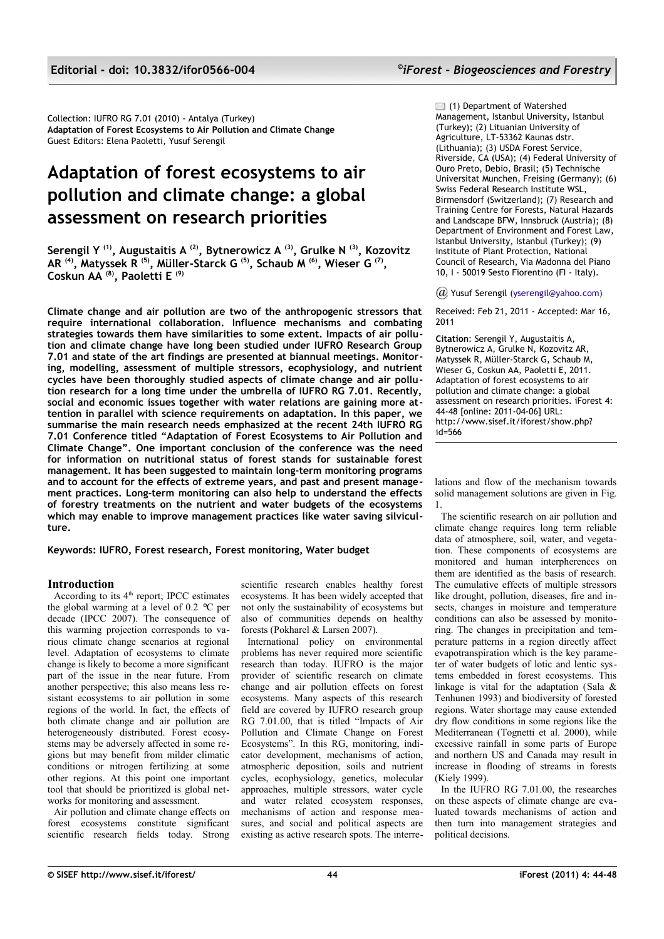Collection: IUFRO RG 7.01 (2010) - Antalya (Turkey) **Adaptation of Forest Ecosystems to Air Pollution and Climate Change** Guest Editors: Elena Paoletti, Yusuf Serengil

# **Adaptation of forest ecosystems to air pollution and climate change: a global assessment on research priorities**

**Serengil Y (1), Augustaitis A (2), Bytnerowicz A (3), Grulke N (3), Kozovitz AR (4), Matyssek R (5), Müller-Starck G (5), Schaub M (6), Wieser G (7) , Coskun AA (8), Paoletti E (9)**

**Climate change and air pollution are two of the anthropogenic stressors that require international collaboration. Influence mechanisms and combating strategies towards them have similarities to some extent. Impacts of air pollution and climate change have long been studied under IUFRO Research Group 7.01 and state of the art findings are presented at biannual meetings. Monitoring, modelling, assessment of multiple stressors, ecophysiology, and nutrient cycles have been thoroughly studied aspects of climate change and air pollution research for a long time under the umbrella of IUFRO RG 7.01. Recently, social and economic issues together with water relations are gaining more attention in parallel with science requirements on adaptation. In this paper, we summarise the main research needs emphasized at the recent 24th IUFRO RG 7.01 Conference titled "Adaptation of Forest Ecosystems to Air Pollution and Climate Change". One important conclusion of the conference was the need for information on nutritional status of forest stands for sustainable forest management. It has been suggested to maintain long-term monitoring programs and to account for the effects of extreme years, and past and present management practices. Long-term monitoring can also help to understand the effects of forestry treatments on the nutrient and water budgets of the ecosystems which may enable to improve management practices like water saving silviculture.**

**Keywords: IUFRO, Forest research, Forest monitoring, Water budget**

## **Introduction**

According to its 4<sup>th</sup> report; IPCC estimates the global warming at a level of 0.2 *°*C per decade (IPCC 2007). The consequence of this warming projection corresponds to various climate change scenarios at regional level. Adaptation of ecosystems to climate change is likely to become a more significant part of the issue in the near future. From another perspective; this also means less resistant ecosystems to air pollution in some regions of the world. In fact, the effects of both climate change and air pollution are heterogeneously distributed. Forest ecosystems may be adversely affected in some regions but may benefit from milder climatic conditions or nitrogen fertilizing at some other regions. At this point one important tool that should be prioritized is global networks for monitoring and assessment.

Air pollution and climate change effects on forest ecosystems constitute significant scientific research fields today. Strong scientific research enables healthy forest ecosystems. It has been widely accepted that not only the sustainability of ecosystems but also of communities depends on healthy forests (Pokharel & Larsen 2007).

International policy on environmental problems has never required more scientific research than today. IUFRO is the major provider of scientific research on climate change and air pollution effects on forest ecosystems. Many aspects of this research field are covered by IUFRO research group RG 7.01.00, that is titled "Impacts of Air Pollution and Climate Change on Forest Ecosystems". In this RG, monitoring, indicator development, mechanisms of action, atmospheric deposition, soils and nutrient cycles, ecophysiology, genetics, molecular approaches, multiple stressors, water cycle and water related ecosystem responses, mechanisms of action and response measures, and social and political aspects are existing as active research spots. The interre**■ (1) Department of Watershed** Management, Istanbul University, Istanbul (Turkey); (2) Lituanian University of Agriculture, LT-53362 Kaunas dstr. (Lithuania); (3) USDA Forest Service, Riverside, CA (USA); (4) Federal University of Ouro Preto, Debio, Brasil; (5) Technische Universitat Munchen, Freising (Germany); (6) Swiss Federal Research Institute WSL, Birmensdorf (Switzerland); (7) Research and Training Centre for Forests, Natural Hazards and Landscape BFW, Innsbruck (Austria); (8) Department of Environment and Forest Law, Istanbul University, Istanbul (Turkey); (9) Institute of Plant Protection, National Council of Research, Via Madonna del Piano 10, I - 50019 Sesto Fiorentino (FI - Italy).

#### *@* Yusuf Serengil [\(yserengil@yahoo.com\)](mailto:yserengil@yahoo.com)

Received: Feb 21, 2011 - Accepted: Mar 16, 2011

**Citation**: Serengil Y, Augustaitis A, Bytnerowicz A, Grulke N, Kozovitz AR, Matyssek R, Müller-Starck G, Schaub M, Wieser G, Coskun AA, Paoletti E, 2011. Adaptation of forest ecosystems to air pollution and climate change: a global assessment on research priorities. iForest 4: 44-48 [online: 2011-04-06] URL: http://www.sisef.it/iforest/show.php? id=566

lations and flow of the mechanism towards solid management solutions are given in [Fig.](#page-1-0) [1.](#page-1-0)

The scientific research on air pollution and climate change requires long term reliable data of atmosphere, soil, water, and vegetation. These components of ecosystems are monitored and human interpherences on them are identified as the basis of research. The cumulative effects of multiple stressors like drought, pollution, diseases, fire and insects, changes in moisture and temperature conditions can also be assessed by monitoring. The changes in precipitation and temperature patterns in a region directly affect evapotranspiration which is the key parameter of water budgets of lotic and lentic systems embedded in forest ecosystems. This linkage is vital for the adaptation (Sala & Tenhunen 1993) and biodiversity of forested regions. Water shortage may cause extended dry flow conditions in some regions like the Mediterranean (Tognetti et al. 2000), while excessive rainfall in some parts of Europe and northern US and Canada may result in increase in flooding of streams in forests (Kiely 1999).

In the IUFRO RG 7.01.00, the researches on these aspects of climate change are evaluated towards mechanisms of action and then turn into management strategies and political decisions.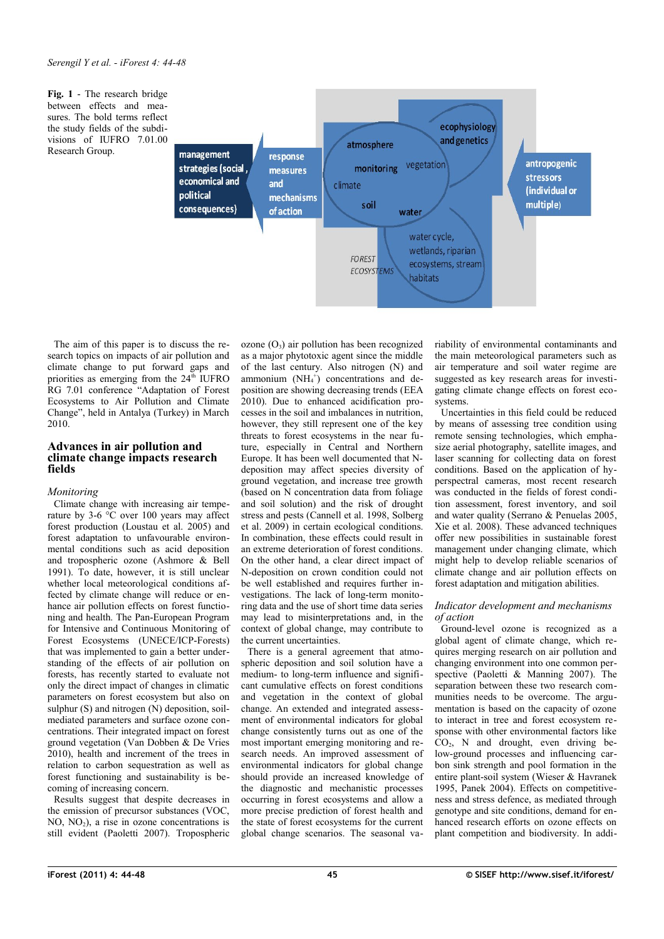<span id="page-1-0"></span>**Fig. 1** - The research bridge between effects and measures. The bold terms reflect the study fields of the subdivisions of IUFRO 7.01.00 Research Group.



The aim of this paper is to discuss the research topics on impacts of air pollution and climate change to put forward gaps and priorities as emerging from the  $24<sup>th</sup>$  IUFRO RG 7.01 conference "Adaptation of Forest Ecosystems to Air Pollution and Climate Change", held in Antalya (Turkey) in March 2010.

## **Advances in air pollution and climate change impacts research fields**

## *Monitoring*

Climate change with increasing air temperature by 3-6  $\degree$ C over 100 years may affect forest production (Loustau et al. 2005) and forest adaptation to unfavourable environmental conditions such as acid deposition and tropospheric ozone (Ashmore & Bell 1991). To date, however, it is still unclear whether local meteorological conditions affected by climate change will reduce or enhance air pollution effects on forest functioning and health. The Pan-European Program for Intensive and Continuous Monitoring of Forest Ecosystems (UNECE/ICP-Forests) that was implemented to gain a better understanding of the effects of air pollution on forests, has recently started to evaluate not only the direct impact of changes in climatic parameters on forest ecosystem but also on sulphur  $(S)$  and nitrogen  $(N)$  deposition, soilmediated parameters and surface ozone concentrations. Their integrated impact on forest ground vegetation (Van Dobben & De Vries 2010), health and increment of the trees in relation to carbon sequestration as well as forest functioning and sustainability is becoming of increasing concern.

Results suggest that despite decreases in the emission of precursor substances (VOC,  $NO$ ,  $NO<sub>2</sub>$ ), a rise in ozone concentrations is still evident (Paoletti 2007). Tropospheric

ozone  $(O_3)$  air pollution has been recognized as a major phytotoxic agent since the middle of the last century. Also nitrogen (N) and ammonium  $(NH<sub>4</sub><sup>+</sup>)$  concentrations and deposition are showing decreasing trends (EEA 2010). Due to enhanced acidification processes in the soil and imbalances in nutrition, however, they still represent one of the key threats to forest ecosystems in the near future, especially in Central and Northern Europe. It has been well documented that Ndeposition may affect species diversity of ground vegetation, and increase tree growth (based on N concentration data from foliage and soil solution) and the risk of drought stress and pests (Cannell et al. 1998, Solberg et al. 2009) in certain ecological conditions. In combination, these effects could result in an extreme deterioration of forest conditions. On the other hand, a clear direct impact of N-deposition on crown condition could not be well established and requires further investigations. The lack of long-term monitoring data and the use of short time data series may lead to misinterpretations and, in the context of global change, may contribute to the current uncertainties.

There is a general agreement that atmospheric deposition and soil solution have a medium- to long-term influence and significant cumulative effects on forest conditions and vegetation in the context of global change. An extended and integrated assessment of environmental indicators for global change consistently turns out as one of the most important emerging monitoring and research needs. An improved assessment of environmental indicators for global change should provide an increased knowledge of the diagnostic and mechanistic processes occurring in forest ecosystems and allow a more precise prediction of forest health and the state of forest ecosystems for the current global change scenarios. The seasonal variability of environmental contaminants and the main meteorological parameters such as air temperature and soil water regime are suggested as key research areas for investigating climate change effects on forest ecosystems.

Uncertainties in this field could be reduced by means of assessing tree condition using remote sensing technologies, which emphasize aerial photography, satellite images, and laser scanning for collecting data on forest conditions. Based on the application of hyperspectral cameras, most recent research was conducted in the fields of forest condition assessment, forest inventory, and soil and water quality (Serrano & Penuelas 2005, Xie et al. 2008). These advanced techniques offer new possibilities in sustainable forest management under changing climate, which might help to develop reliable scenarios of climate change and air pollution effects on forest adaptation and mitigation abilities.

### *Indicator development and mechanisms of action*

Ground-level ozone is recognized as a global agent of climate change, which requires merging research on air pollution and changing environment into one common perspective (Paoletti & Manning 2007). The separation between these two research communities needs to be overcome. The argumentation is based on the capacity of ozone to interact in tree and forest ecosystem response with other environmental factors like  $CO<sub>2</sub>$ , N and drought, even driving below-ground processes and influencing carbon sink strength and pool formation in the entire plant-soil system (Wieser & Havranek 1995, Panek 2004). Effects on competitiveness and stress defence, as mediated through genotype and site conditions, demand for enhanced research efforts on ozone effects on plant competition and biodiversity. In addi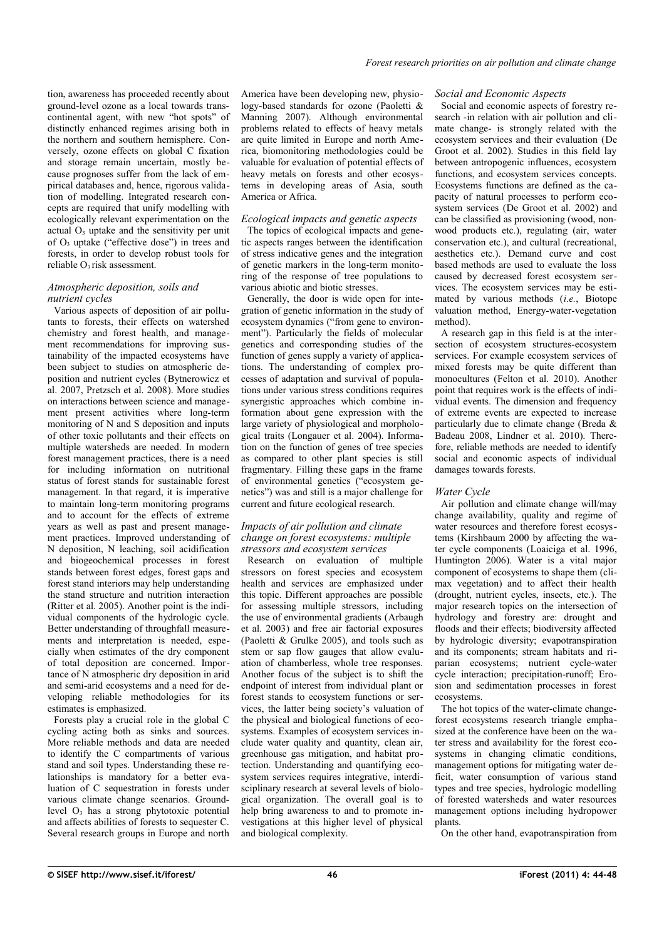tion, awareness has proceeded recently about ground-level ozone as a local towards transcontinental agent, with new "hot spots" of distinctly enhanced regimes arising both in the northern and southern hemisphere. Conversely, ozone effects on global C fixation and storage remain uncertain, mostly because prognoses suffer from the lack of empirical databases and, hence, rigorous validation of modelling. Integrated research concepts are required that unify modelling with ecologically relevant experimentation on the actual  $O_3$  uptake and the sensitivity per unit of  $O_3$  uptake ("effective dose") in trees and forests, in order to develop robust tools for reliable O<sub>3</sub> risk assessment.

### *Atmospheric deposition, soils and nutrient cycles*

Various aspects of deposition of air pollutants to forests, their effects on watershed chemistry and forest health, and management recommendations for improving sustainability of the impacted ecosystems have been subject to studies on atmospheric deposition and nutrient cycles (Bytnerowicz et al. 2007, Pretzsch et al. 2008). More studies on interactions between science and management present activities where long-term monitoring of N and S deposition and inputs of other toxic pollutants and their effects on multiple watersheds are needed. In modern forest management practices, there is a need for including information on nutritional status of forest stands for sustainable forest management. In that regard, it is imperative to maintain long-term monitoring programs and to account for the effects of extreme years as well as past and present management practices. Improved understanding of N deposition, N leaching, soil acidification and biogeochemical processes in forest stands between forest edges, forest gaps and forest stand interiors may help understanding the stand structure and nutrition interaction (Ritter et al. 2005). Another point is the individual components of the hydrologic cycle. Better understanding of throughfall measurements and interpretation is needed, especially when estimates of the dry component of total deposition are concerned. Importance of N atmospheric dry deposition in arid and semi-arid ecosystems and a need for developing reliable methodologies for its estimates is emphasized.

Forests play a crucial role in the global C cycling acting both as sinks and sources. More reliable methods and data are needed to identify the C compartments of various stand and soil types. Understanding these relationships is mandatory for a better evaluation of C sequestration in forests under various climate change scenarios. Groundlevel  $O_3$  has a strong phytotoxic potential and affects abilities of forests to sequester C. Several research groups in Europe and north

America have been developing new, physiology-based standards for ozone (Paoletti & Manning 2007). Although environmental problems related to effects of heavy metals are quite limited in Europe and north America, biomonitoring methodologies could be valuable for evaluation of potential effects of heavy metals on forests and other ecosystems in developing areas of Asia, south America or Africa.

## *Ecological impacts and genetic aspects*

The topics of ecological impacts and genetic aspects ranges between the identification of stress indicative genes and the integration of genetic markers in the long-term monitoring of the response of tree populations to various abiotic and biotic stresses.

Generally, the door is wide open for integration of genetic information in the study of ecosystem dynamics ("from gene to environment"). Particularly the fields of molecular genetics and corresponding studies of the function of genes supply a variety of applications. The understanding of complex processes of adaptation and survival of populations under various stress conditions requires synergistic approaches which combine information about gene expression with the large variety of physiological and morphological traits (Longauer et al. 2004). Information on the function of genes of tree species as compared to other plant species is still fragmentary. Filling these gaps in the frame of environmental genetics ("ecosystem genetics") was and still is a major challenge for current and future ecological research.

#### *Impacts of air pollution and climate change on forest ecosystems: multiple stressors and ecosystem services*

Research on evaluation of multiple stressors on forest species and ecosystem health and services are emphasized under this topic. Different approaches are possible for assessing multiple stressors, including the use of environmental gradients (Arbaugh et al. 2003) and free air factorial exposures (Paoletti & Grulke 2005), and tools such as stem or sap flow gauges that allow evaluation of chamberless, whole tree responses. Another focus of the subject is to shift the endpoint of interest from individual plant or forest stands to ecosystem functions or services, the latter being society's valuation of the physical and biological functions of ecosystems. Examples of ecosystem services include water quality and quantity, clean air, greenhouse gas mitigation, and habitat protection. Understanding and quantifying ecosystem services requires integrative, interdisciplinary research at several levels of biological organization. The overall goal is to help bring awareness to and to promote investigations at this higher level of physical and biological complexity.

## *Social and Economic Aspects*

Social and economic aspects of forestry research -in relation with air pollution and climate change- is strongly related with the ecosystem services and their evaluation (De Groot et al. 2002). Studies in this field lay between antropogenic influences, ecosystem functions, and ecosystem services concepts. Ecosystems functions are defined as the capacity of natural processes to perform ecosystem services (De Groot et al. 2002) and can be classified as provisioning (wood, nonwood products etc.), regulating (air, water conservation etc.), and cultural (recreational, aesthetics etc.). Demand curve and cost based methods are used to evaluate the loss caused by decreased forest ecosystem services. The ecosystem services may be estimated by various methods (*i.e.*, Biotope valuation method, Energy-water-vegetation method).

A research gap in this field is at the intersection of ecosystem structures-ecosystem services. For example ecosystem services of mixed forests may be quite different than monocultures (Felton et al. 2010). Another point that requires work is the effects of individual events. The dimension and frequency of extreme events are expected to increase particularly due to climate change (Breda & Badeau 2008, Lindner et al. 2010). Therefore, reliable methods are needed to identify social and economic aspects of individual damages towards forests.

## *Water Cycle*

Air pollution and climate change will/may change availability, quality and regime of water resources and therefore forest ecosystems (Kirshbaum 2000 by affecting the water cycle components (Loaiciga et al. 1996, Huntington 2006). Water is a vital major component of ecosystems to shape them (climax vegetation) and to affect their health (drought, nutrient cycles, insects, etc.). The major research topics on the intersection of hydrology and forestry are: drought and floods and their effects; biodiversity affected by hydrologic diversity; evapotranspiration and its components; stream habitats and riparian ecosystems; nutrient cycle-water cycle interaction; precipitation-runoff; Erosion and sedimentation processes in forest ecosystems.

The hot topics of the water-climate changeforest ecosystems research triangle emphasized at the conference have been on the water stress and availability for the forest ecosystems in changing climatic conditions, management options for mitigating water deficit, water consumption of various stand types and tree species, hydrologic modelling of forested watersheds and water resources management options including hydropower plants.

On the other hand, evapotranspiration from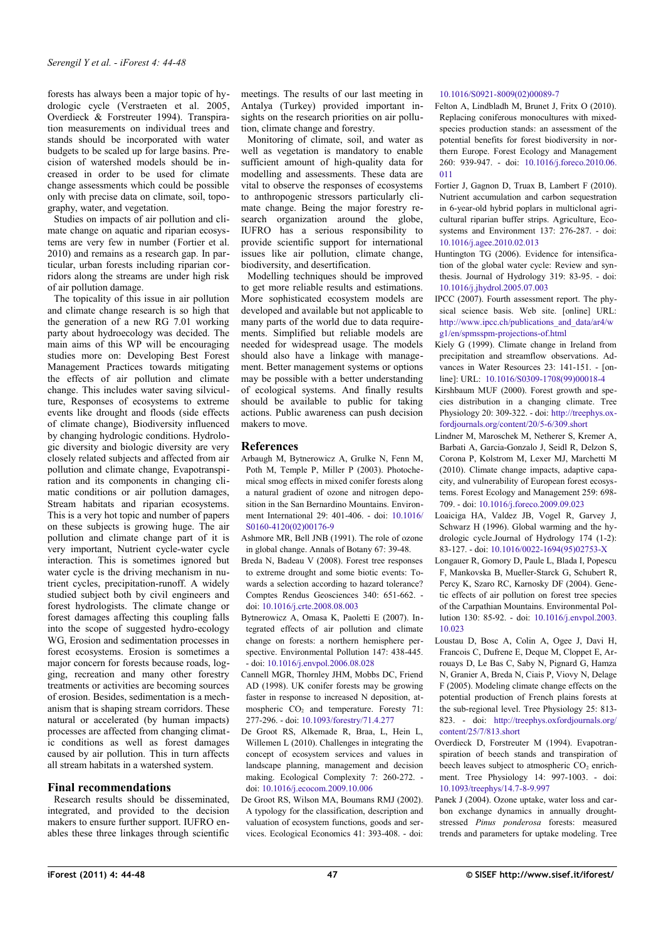forests has always been a major topic of hydrologic cycle (Verstraeten et al. 2005, Overdieck & Forstreuter 1994). Transpiration measurements on individual trees and stands should be incorporated with water budgets to be scaled up for large basins. Precision of watershed models should be increased in order to be used for climate change assessments which could be possible only with precise data on climate, soil, topography, water, and vegetation.

Studies on impacts of air pollution and climate change on aquatic and riparian ecosystems are very few in number (Fortier et al. 2010) and remains as a research gap. In particular, urban forests including riparian corridors along the streams are under high risk of air pollution damage.

The topicality of this issue in air pollution and climate change research is so high that the generation of a new RG 7.01 working party about hydroecology was decided. The main aims of this WP will be encouraging studies more on: Developing Best Forest Management Practices towards mitigating the effects of air pollution and climate change. This includes water saving silviculture, Responses of ecosystems to extreme events like drought and floods (side effects of climate change), Biodiversity influenced by changing hydrologic conditions. Hydrologic diversity and biologic diversity are very closely related subjects and affected from air pollution and climate change, Evapotranspiration and its components in changing climatic conditions or air pollution damages, Stream habitats and riparian ecosystems. This is a very hot topic and number of papers on these subjects is growing huge. The air pollution and climate change part of it is very important, Nutrient cycle-water cycle interaction. This is sometimes ignored but water cycle is the driving mechanism in nutrient cycles, precipitation-runoff. A widely studied subject both by civil engineers and forest hydrologists. The climate change or forest damages affecting this coupling falls into the scope of suggested hydro-ecology WG, Erosion and sedimentation processes in forest ecosystems. Erosion is sometimes a major concern for forests because roads, logging, recreation and many other forestry treatments or activities are becoming sources of erosion. Besides, sedimentation is a mechanism that is shaping stream corridors. These natural or accelerated (by human impacts) processes are affected from changing climatic conditions as well as forest damages caused by air pollution. This in turn affects all stream habitats in a watershed system.

## **Final recommendations**

Research results should be disseminated, integrated, and provided to the decision makers to ensure further support. IUFRO enables these three linkages through scientific meetings. The results of our last meeting in Antalya (Turkey) provided important insights on the research priorities on air pollution, climate change and forestry.

Monitoring of climate, soil, and water as well as vegetation is mandatory to enable sufficient amount of high-quality data for modelling and assessments. These data are vital to observe the responses of ecosystems to anthropogenic stressors particularly climate change. Being the major forestry research organization around the globe, IUFRO has a serious responsibility to provide scientific support for international issues like air pollution, climate change, biodiversity, and desertification.

Modelling techniques should be improved to get more reliable results and estimations. More sophisticated ecosystem models are developed and available but not applicable to many parts of the world due to data requirements. Simplified but reliable models are needed for widespread usage. The models should also have a linkage with management. Better management systems or options may be possible with a better understanding of ecological systems. And finally results should be available to public for taking actions. Public awareness can push decision makers to move.

# **References**

- Arbaugh M, Bytnerowicz A, Grulke N, Fenn M, Poth M, Temple P, Miller P (2003). Photochemical smog effects in mixed conifer forests along a natural gradient of ozone and nitrogen deposition in the San Bernardino Mountains. Environment International 29: 401-406. - doi: [10.1016/](http://dx.doi.org/10.1016/S0160-4120(02)00176-9) [S0160-4120\(02\)00176-9](http://dx.doi.org/10.1016/S0160-4120(02)00176-9)
- Ashmore MR, Bell JNB (1991). The role of ozone in global change. Annals of Botany 67: 39-48.
- Breda N, Badeau V (2008). Forest tree responses to extreme drought and some biotic events: Towards a selection according to hazard tolerance? Comptes Rendus Geosciences 340: 651-662. doi: [10.1016/j.crte.2008.08.003](http://dx.doi.org/10.1016/j.crte.2008.08.003)
- Bytnerowicz A, Omasa K, Paoletti E (2007). Integrated effects of air pollution and climate change on forests: a northern hemisphere perspective. Environmental Pollution 147: 438-445*.* - doi: [10.1016/j.envpol.2006.08.028](http://dx.doi.org/10.1016/j.envpol.2006.08.028)
- Cannell MGR, Thornley JHM, Mobbs DC, Friend AD (1998). UK conifer forests may be growing faster in response to increased N deposition, atmospheric  $CO<sub>2</sub>$  and temperature. Foresty 71: 277-296. - doi: [10.1093/forestry/71.4.277](http://dx.doi.org/10.1093/forestry/71.4.277)
- De Groot RS, Alkemade R, Braa, L, Hein L, Willemen L (2010). Challenges in integrating the concept of ecosystem services and values in landscape planning, management and decision making. Ecological Complexity 7: 260-272. doi: [10.1016/j.ecocom.2009.10.006](http://dx.doi.org/10.1016/j.ecocom.2009.10.006)
- De Groot RS, Wilson MA, Boumans RMJ (2002). A typology for the classification, description and valuation of ecosystem functions, goods and services. Ecological Economics 41: 393-408. - doi:

### [10.1016/S0921-8009\(02\)00089-7](http://dx.doi.org/10.1016/S0921-8009(02)00089-7)

- Felton A, Lindbladh M, Brunet J, Fritx O (2010). Replacing coniferous monocultures with mixedspecies production stands: an assessment of the potential benefits for forest biodiversity in northern Europe. Forest Ecology and Management 260: 939-947. - doi: [10.1016/j.foreco.2010.06.](http://dx.doi.org/10.1016/j.foreco.2010.06.011) [011](http://dx.doi.org/10.1016/j.foreco.2010.06.011)
- Fortier J, Gagnon D, Truax B, Lambert F (2010). Nutrient accumulation and carbon sequestration in 6-year-old hybrid poplars in multiclonal agricultural riparian buffer strips. Agriculture, Ecosystems and Environment 137: 276-287. - doi: [10.1016/j.agee.2010.02.013](http://dx.doi.org/10.1016/j.agee.2010.02.013)
- Huntington TG (2006). Evidence for intensification of the global water cycle: Review and synthesis. Journal of Hydrology 319: 83-95. - doi: [10.1016/j.jhydrol.2005.07.003](http://dx.doi.org/10.1016/j.jhydrol.2005.07.003)
- IPCC (2007). Fourth assessment report. The physical science basis. Web site. [online] URL: [http://www.ipcc.ch/publications\\_and\\_data/ar4/w](http://www.ipcc.ch/publications_and_data/ar4/wg1/en/spmsspm-projections-of.html) [g1/en/spmsspm-projections-of.html](http://www.ipcc.ch/publications_and_data/ar4/wg1/en/spmsspm-projections-of.html)
- Kiely G (1999). Climate change in Ireland from precipitation and streamflow observations. Advances in Water Resources 23: 141-151. - [online]: URL: [10.1016/S0309-1708\(99\)00018-4](http://dx.doi.org/10.1016/S0309-1708(99)00018-4)
- Kirshbaum MUF (2000). Forest growth and species distribution in a changing climate. Tree Physiology 20: 309-322. - doi: [http://treephys.ox](http://treephys.oxfordjournals.org/content/20/5-6/309.short)[fordjournals.org/content/20/5-6/309.short](http://treephys.oxfordjournals.org/content/20/5-6/309.short)
- Lindner M, Maroschek M, Netherer S, Kremer A, Barbati A, Garcia-Gonzalo J, Seidl R, Delzon S, Corona P, Kolstrom M, Lexer MJ, Marchetti M (2010). Climate change impacts, adaptive capacity, and vulnerability of European forest ecosystems. Forest Ecology and Management 259: 698- 709. - doi: [10.1016/j.foreco.2009.09.023](http://dx.doi.org/10.1016/j.foreco.2009.09.023)
- Loaiciga HA, Valdez JB, Vogel R, Garvey J, Schwarz H (1996). Global warming and the hydrologic cycle.Journal of Hydrology 174 (1-2): 83-127. - doi: [10.1016/0022-1694\(95\)02753-X](http://dx.doi.org/10.1016/0022-1694(95)02753-X)
- Longauer R, Gomory D, Paule L, Blada I, Popescu F, Mankovska B, Mueller-Starck G, Schubert R, Percy K, Szaro RC, Karnosky DF (2004). Genetic effects of air pollution on forest tree species of the Carpathian Mountains. Environmental Pollution 130: 85-92. - doi: [10.1016/j.envpol.2003.](http://dx.doi.org/10.1016/j.envpol.2003.10.023) [10.023](http://dx.doi.org/10.1016/j.envpol.2003.10.023)
- Loustau D, Bosc A, Colin A, Ogee J, Davi H, Francois C, Dufrene E, Deque M, Cloppet E, Arrouays D, Le Bas C, Saby N, Pignard G, Hamza N, Granier A, Breda N, Ciais P, Viovy N, Delage F (2005). Modeling climate change effects on the potential production of French plains forests at the sub-regional level. Tree Physiology 25: 813- 823. - doi:<http://treephys.oxfordjournals.org/> [content/25/7/813.short](http://treephys.oxfordjournals.org/content/25/7/813.short)
- Overdieck D, Forstreuter M (1994). Evapotranspiration of beech stands and transpiration of beech leaves subject to atmospheric  $CO<sub>2</sub>$  enrichment. Tree Physiology 14: 997-1003. - doi: [10.1093/treephys/14.7-8-9.997](http://dx.doi.org/10.1093/treephys/14.7-8-9.997)
- Panek J (2004). Ozone uptake, water loss and carbon exchange dynamics in annually droughtstressed *Pinus ponderosa* forests: measured trends and parameters for uptake modeling. Tree